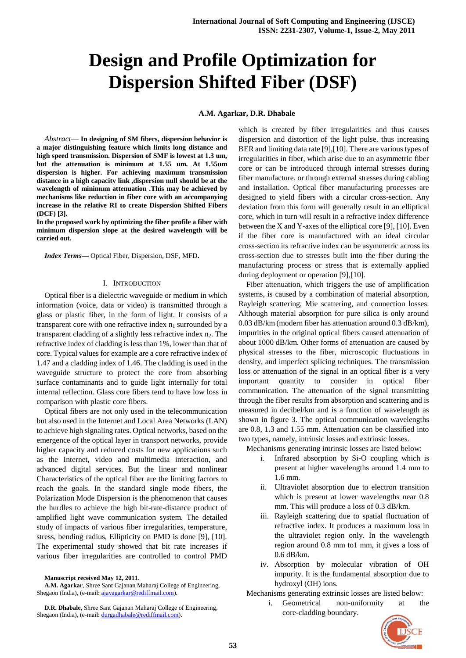# **Design and Profile Optimization for Dispersion Shifted Fiber (DSF)**

**A.M. Agarkar, D.R. Dhabale**

*Abstract*— **In designing of SM fibers, dispersion behavior is a major distinguishing feature which limits long distance and high speed transmission. Dispersion of SMF is lowest at 1.3 um, but the attenuation is minimum at 1.55 um. At 1.55um dispersion is higher. For achieving maximum transmission distance in a high capacity link ,dispersion null should be at the wavelength of minimum attenuation .This may be achieved by mechanisms like reduction in fiber core with an accompanying increase in the relative RI to create Dispersion Shifted Fibers (DCF) [3].**

**In the proposed work by optimizing the fiber profile a fiber with minimum dispersion slope at the desired wavelength will be carried out.**

*Index Terms***—** Optical Fiber, Dispersion, DSF, MFD**.** 

#### I. INTRODUCTION

Optical fiber is a dielectric waveguide or medium in which information (voice, data or video) is transmitted through a glass or plastic fiber, in the form of light. It consists of a transparent core with one refractive index  $n_1$  surrounded by a transparent cladding of a slightly less refractive index  $n_2$ . The refractive index of cladding is less than 1%, lower than that of core. Typical values for example are a core refractive index of 1.47 and a cladding index of 1.46. The cladding is used in the waveguide structure to protect the core from absorbing surface contaminants and to guide light internally for total internal reflection. Glass core fibers tend to have low loss in comparison with plastic core fibers.

Optical fibers are not only used in the telecommunication but also used in the Internet and Local Area Networks (LAN) to achieve high signaling rates. Optical networks, based on the emergence of the optical layer in transport networks, provide higher capacity and reduced costs for new applications such as the Internet, video and multimedia interaction, and advanced digital services. But the linear and nonlinear Characteristics of the optical fiber are the limiting factors to reach the goals. In the standard single mode fibers, the Polarization Mode Dispersion is the phenomenon that causes the hurdles to achieve the high bit-rate-distance product of amplified light wave communication system. The detailed study of impacts of various fiber irregularities, temperature, stress, bending radius, Ellipticity on PMD is done [9], [10]. The experimental study showed that bit rate increases if various fiber irregularities are controlled to control PMD

**Manuscript received May 12, 2011**.

**A.M. Agarkar**, Shree Sant Gajanan Maharaj College of Engineering, Shegaon (India), (e-mail[: ajayagarkar@rediffmail.com\).](mailto:ajayagarkar@rediffmail.com)

which is created by fiber irregularities and thus causes dispersion and distortion of the light pulse, thus increasing BER and limiting data rate [9],[10]. There are various types of irregularities in fiber, which arise due to an asymmetric fiber core or can be introduced through internal stresses during fiber manufacture, or through external stresses during cabling and installation. Optical fiber manufacturing processes are designed to yield fibers with a circular cross-section. Any deviation from this form will generally result in an elliptical core, which in turn will result in a refractive index difference between the X and Y-axes of the elliptical core [9], [10]. Even if the fiber core is manufactured with an ideal circular cross-section its refractive index can be asymmetric across its cross-section due to stresses built into the fiber during the manufacturing process or stress that is externally applied during deployment or operation [9],[10].

Fiber attenuation, which triggers the use of amplification systems, is caused by a combination of material absorption, Rayleigh scattering, Mie scattering, and connection losses. Although material absorption for pure silica is only around 0.03 dB/km (modern fiber has attenuation around 0.3 dB/km), impurities in the original optical fibers caused attenuation of about 1000 dB/km. Other forms of attenuation are caused by physical stresses to the fiber, microscopic fluctuations in density, and imperfect splicing techniques. The transmission loss or attenuation of the signal in an optical fiber is a very important quantity to consider in optical fiber communication. The attenuation of the signal transmitting through the fiber results from absorption and scattering and is measured in decibel/km and is a function of wavelength as shown in figure 3. The optical communication wavelengths are 0.8, 1.3 and 1.55 mm. Attenuation can be classified into two types, namely, intrinsic losses and extrinsic losses.

Mechanisms generating intrinsic losses are listed below:

- i. Infrared absorption by Si-O coupling which is present at higher wavelengths around 1.4 mm to 1.6 mm.
- ii. Ultraviolet absorption due to electron transition which is present at lower wavelengths near 0.8 mm. This will produce a loss of 0.3 dB/km.
- iii. Rayleigh scattering due to spatial fluctuation of refractive index. It produces a maximum loss in the ultraviolet region only. In the wavelength region around 0.8 mm to1 mm, it gives a loss of 0.6 dB/km.
- iv. Absorption by molecular vibration of OH impurity. It is the fundamental absorption due to hydroxyl (OH) ions.

Mechanisms generating extrinsic losses are listed below:

i. Geometrical non-uniformity at the core-cladding boundary.



**D.R. Dhabale**, Shree Sant Gajanan Maharaj College of Engineering, Shegaon (India), (e-mail[: durgadhabale@rediffmail.com\).](mailto:durgadhabale@rediffmail.com)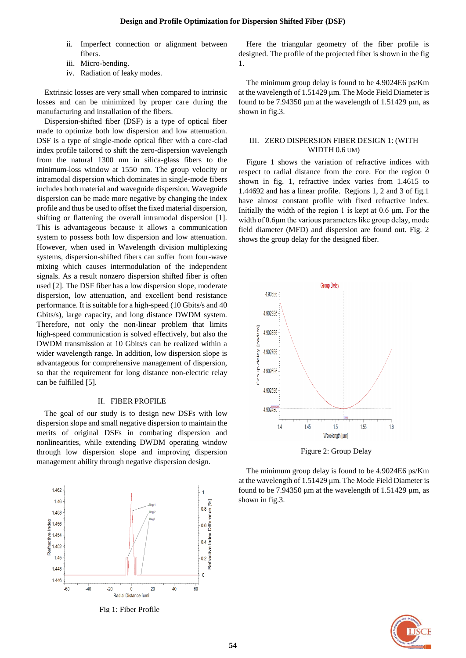- ii. Imperfect connection or alignment between fibers.
- iii. Micro-bending.
- iv. Radiation of leaky modes.

Extrinsic losses are very small when compared to intrinsic losses and can be minimized by proper care during the manufacturing and installation of the fibers.

Dispersion-shifted fiber (DSF) is a type of optical fiber made to optimize both low dispersion and low attenuation. DSF is a type of single-mode optical fiber with a core-clad index profile tailored to shift the zero-dispersion wavelength from the natural 1300 nm in silica-glass fibers to the minimum-loss window at 1550 nm. The group velocity or intramodal dispersion which dominates in single-mode fibers includes both material and waveguide dispersion. Waveguide dispersion can be made more negative by changing the index profile and thus be used to offset the fixed material dispersion, shifting or flattening the overall intramodal dispersion [1]. This is advantageous because it allows a communication system to possess both low dispersion and low attenuation. However, when used in Wavelength division multiplexing systems, dispersion-shifted fibers can suffer from four-wave mixing which causes intermodulation of the independent signals. As a result nonzero dispersion shifted fiber is often used [2]. The DSF fiber has a low dispersion slope, moderate dispersion, low attenuation, and excellent bend resistance performance. It is suitable for a high-speed (10 Gbits/s and 40 Gbits/s), large capacity, and long distance DWDM system. Therefore, not only the non-linear problem that limits high-speed communication is solved effectively, but also the DWDM transmission at 10 Gbits/s can be realized within a wider wavelength range. In addition, low dispersion slope is advantageous for comprehensive management of dispersion, so that the requirement for long distance non-electric relay can be fulfilled [5].

#### II. FIBER PROFILE

The goal of our study is to design new DSFs with low dispersion slope and small negative dispersion to maintain the merits of original DSFs in combating dispersion and nonlinearities, while extending DWDM operating window through low dispersion slope and improving dispersion management ability through negative dispersion design.



Fig 1: Fiber Profile

Here the triangular geometry of the fiber profile is designed. The profile of the projected fiber is shown in the fig 1.

The minimum group delay is found to be 4.9024E6 ps/Km at the wavelength of 1.51429 μm. The Mode Field Diameter is found to be 7.94350 μm at the wavelength of 1.51429 μm, as shown in fig.3.

## III. ZERO DISPERSION FIBER DESIGN 1: (WITH WIDTH 0.6 UM)

Figure 1 shows the variation of refractive indices with respect to radial distance from the core. For the region 0 shown in fig. 1, refractive index varies from 1.4615 to 1.44692 and has a linear profile. Regions 1, 2 and 3 of fig.1 have almost constant profile with fixed refractive index. Initially the width of the region 1 is kept at  $0.6 \mu m$ . For the width of 0.6μm the various parameters like group delay, mode field diameter (MFD) and dispersion are found out. Fig. 2 shows the group delay for the designed fiber.



Figure 2: Group Delay

The minimum group delay is found to be 4.9024E6 ps/Km at the wavelength of 1.51429 μm. The Mode Field Diameter is found to be 7.94350  $\mu$ m at the wavelength of 1.51429  $\mu$ m, as shown in fig.3.

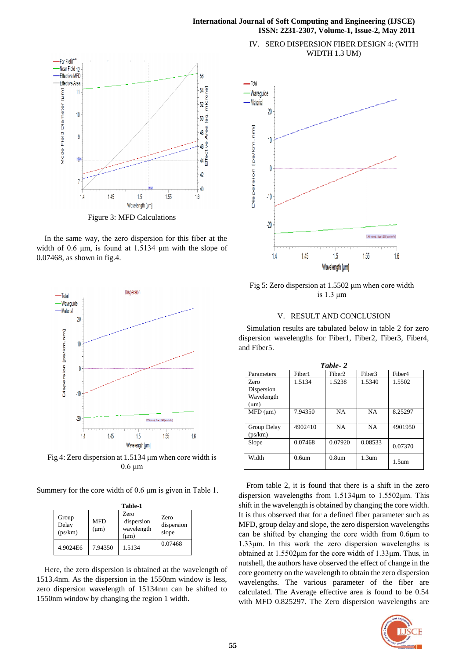#### **International Journal of Soft Computing and Engineering (IJSCE) ISSN: 2231-2307, Volume-1, Issue-2, May 2011**



In the same way, the zero dispersion for this fiber at the width of 0.6 μm, is found at 1.5134 μm with the slope of 0.07468, as shown in fig.4.



Fig 4: Zero dispersion at 1.5134 μm when core width is 0.6 μm

Summery for the core width of 0.6 μm is given in Table 1.

| Table-1                   |                         |                                               |                                    |  |  |  |
|---------------------------|-------------------------|-----------------------------------------------|------------------------------------|--|--|--|
| Group<br>Delay<br>(ps/km) | <b>MFD</b><br>$(\mu m)$ | Zero<br>dispersion<br>wavelength<br>$(\mu m)$ | <b>Zero</b><br>dispersion<br>slope |  |  |  |
| 4.9024E6                  | 7.94350                 | 1.5134                                        | 0.07468                            |  |  |  |

Here, the zero dispersion is obtained at the wavelength of 1513.4nm. As the dispersion in the 1550nm window is less, zero dispersion wavelength of 15134nm can be shifted to 1550nm window by changing the region 1 width.





Fig 5: Zero dispersion at 1.5502 μm when core width is 1.3 μm

# V. RESULT AND CONCLUSION

Simulation results are tabulated below in table 2 for zero dispersion wavelengths for Fiber1, Fiber2, Fiber3, Fiber4, and Fiber5.

| Table-2           |                   |                    |                   |                    |  |  |
|-------------------|-------------------|--------------------|-------------------|--------------------|--|--|
| Parameters        | Fiber1            | Fiber <sub>2</sub> | Fiber3            | Fiber <sub>4</sub> |  |  |
| Zero              | 1.5134            | 1.5238             | 1.5340            | 1.5502             |  |  |
| Dispersion        |                   |                    |                   |                    |  |  |
| Wavelength        |                   |                    |                   |                    |  |  |
| $(\mu m)$         |                   |                    |                   |                    |  |  |
| $\text{MFD (µm)}$ | 7.94350           | NA.                | <b>NA</b>         | 8.25297            |  |  |
|                   |                   |                    |                   |                    |  |  |
| Group Delay       | 4902410           | <b>NA</b>          | <b>NA</b>         | 4901950            |  |  |
| (ps/km)           |                   |                    |                   |                    |  |  |
| Slope             | 0.07468           | 0.07920            | 0.08533           | 0.07370            |  |  |
|                   |                   |                    |                   |                    |  |  |
| Width             | 0.6 <sub>um</sub> | 0.8 <sub>um</sub>  | 1.3 <sub>um</sub> |                    |  |  |
|                   |                   |                    |                   | 1.5 <sub>um</sub>  |  |  |

From table 2, it is found that there is a shift in the zero dispersion wavelengths from 1.5134μm to 1.5502μm. This shift in the wavelength is obtained by changing the core width. It is thus observed that for a defined fiber parameter such as MFD, group delay and slope, the zero dispersion wavelengths can be shifted by changing the core width from 0.6μm to 1.33μm. In this work the zero dispersion wavelengths is obtained at 1.5502μm for the core width of 1.33μm. Thus, in nutshell, the authors have observed the effect of change in the core geometry on the wavelength to obtain the zero dispersion wavelengths. The various parameter of the fiber are calculated. The Average effective area is found to be 0.54 with MFD 0.825297. The Zero dispersion wavelengths are